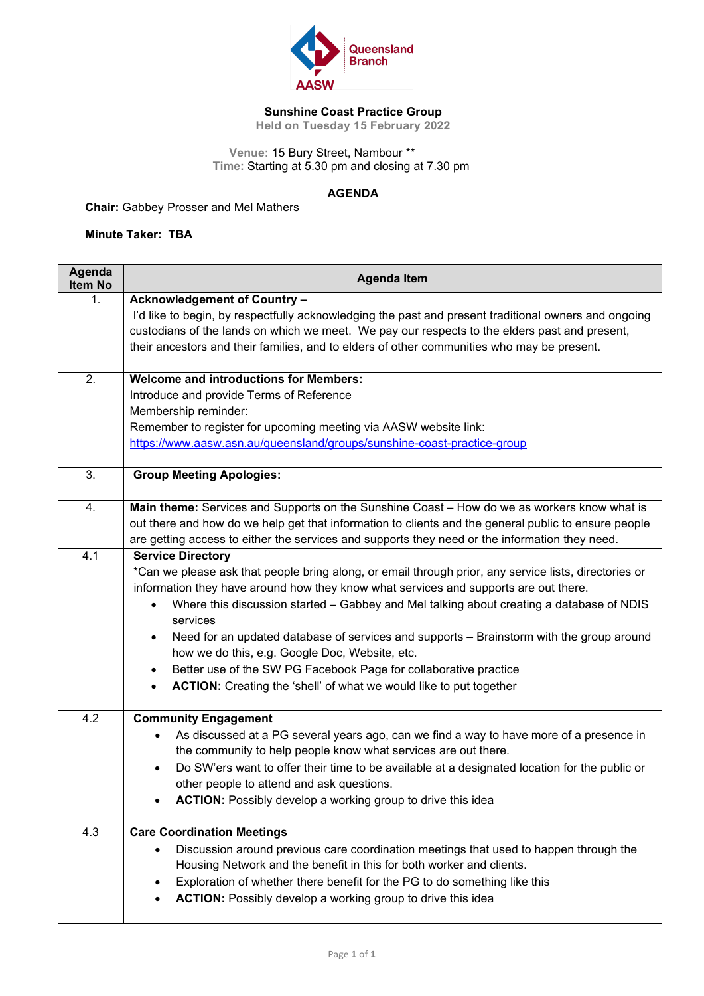

## **Sunshine Coast Practice Group**

**Held on Tuesday 15 February 2022**

 **Venue:** 15 Bury Street, Nambour \*\* **Time:** Starting at 5.30 pm and closing at 7.30 pm

## **AGENDA**

**Chair:** Gabbey Prosser and Mel Mathers

**Minute Taker: TBA**

| Agenda<br><b>Item No</b> | <b>Agenda Item</b>                                                                                                                                                                                                                                                                                                                                                                                                                                                                                                                                                                                                                          |
|--------------------------|---------------------------------------------------------------------------------------------------------------------------------------------------------------------------------------------------------------------------------------------------------------------------------------------------------------------------------------------------------------------------------------------------------------------------------------------------------------------------------------------------------------------------------------------------------------------------------------------------------------------------------------------|
| 1.                       | <b>Acknowledgement of Country -</b><br>I'd like to begin, by respectfully acknowledging the past and present traditional owners and ongoing<br>custodians of the lands on which we meet. We pay our respects to the elders past and present,<br>their ancestors and their families, and to elders of other communities who may be present.                                                                                                                                                                                                                                                                                                  |
| 2.                       | <b>Welcome and introductions for Members:</b><br>Introduce and provide Terms of Reference<br>Membership reminder:<br>Remember to register for upcoming meeting via AASW website link:<br>https://www.aasw.asn.au/queensland/groups/sunshine-coast-practice-group                                                                                                                                                                                                                                                                                                                                                                            |
| 3.                       | <b>Group Meeting Apologies:</b>                                                                                                                                                                                                                                                                                                                                                                                                                                                                                                                                                                                                             |
| 4.                       | Main theme: Services and Supports on the Sunshine Coast - How do we as workers know what is<br>out there and how do we help get that information to clients and the general public to ensure people<br>are getting access to either the services and supports they need or the information they need.                                                                                                                                                                                                                                                                                                                                       |
| 4.1                      | <b>Service Directory</b><br>*Can we please ask that people bring along, or email through prior, any service lists, directories or<br>information they have around how they know what services and supports are out there.<br>Where this discussion started - Gabbey and Mel talking about creating a database of NDIS<br>services<br>Need for an updated database of services and supports - Brainstorm with the group around<br>$\bullet$<br>how we do this, e.g. Google Doc, Website, etc.<br>Better use of the SW PG Facebook Page for collaborative practice<br>٠<br>ACTION: Creating the 'shell' of what we would like to put together |
| 4.2                      | <b>Community Engagement</b><br>As discussed at a PG several years ago, can we find a way to have more of a presence in<br>$\bullet$<br>the community to help people know what services are out there.<br>Do SW'ers want to offer their time to be available at a designated location for the public or<br>$\bullet$<br>other people to attend and ask questions.<br>ACTION: Possibly develop a working group to drive this idea                                                                                                                                                                                                             |
| 4.3                      | <b>Care Coordination Meetings</b><br>Discussion around previous care coordination meetings that used to happen through the<br>$\bullet$<br>Housing Network and the benefit in this for both worker and clients.<br>Exploration of whether there benefit for the PG to do something like this<br>$\bullet$<br><b>ACTION:</b> Possibly develop a working group to drive this idea                                                                                                                                                                                                                                                             |